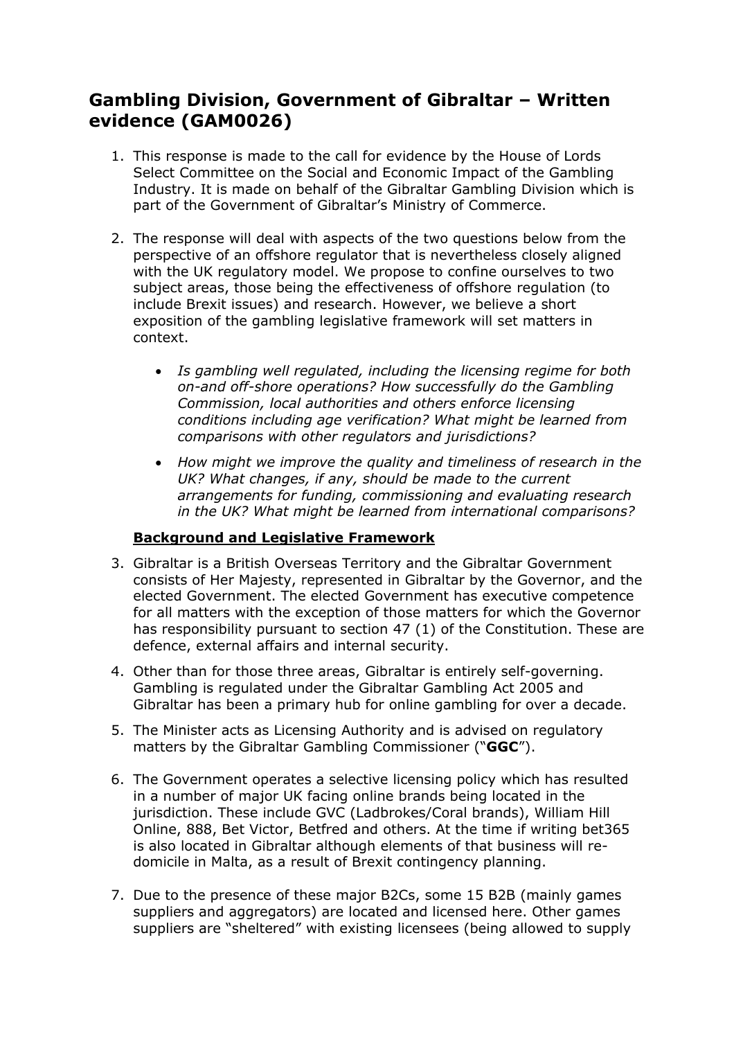# **Gambling Division, Government of Gibraltar – Written evidence (GAM0026)**

- 1. This response is made to the call for evidence by the House of Lords Select Committee on the Social and Economic Impact of the Gambling Industry. It is made on behalf of the Gibraltar Gambling Division which is part of the Government of Gibraltar's Ministry of Commerce.
- 2. The response will deal with aspects of the two questions below from the perspective of an offshore regulator that is nevertheless closely aligned with the UK regulatory model. We propose to confine ourselves to two subject areas, those being the effectiveness of offshore regulation (to include Brexit issues) and research. However, we believe a short exposition of the gambling legislative framework will set matters in context.
	- *Is gambling well regulated, including the licensing regime for both on-and off-shore operations? How successfully do the Gambling Commission, local authorities and others enforce licensing conditions including age verification? What might be learned from comparisons with other regulators and jurisdictions?*
	- *How might we improve the quality and timeliness of research in the UK? What changes, if any, should be made to the current arrangements for funding, commissioning and evaluating research in the UK? What might be learned from international comparisons?*

# **Background and Legislative Framework**

- 3. Gibraltar is a British Overseas Territory and the Gibraltar Government consists of Her Majesty, represented in Gibraltar by the Governor, and the elected Government. The elected Government has executive competence for all matters with the exception of those matters for which the Governor has responsibility pursuant to section 47 (1) of the Constitution. These are defence, external affairs and internal security.
- 4. Other than for those three areas, Gibraltar is entirely self-governing. Gambling is regulated under the Gibraltar Gambling Act 2005 and Gibraltar has been a primary hub for online gambling for over a decade.
- 5. The Minister acts as Licensing Authority and is advised on regulatory matters by the Gibraltar Gambling Commissioner ("**GGC**").
- 6. The Government operates a selective licensing policy which has resulted in a number of major UK facing online brands being located in the jurisdiction. These include GVC (Ladbrokes/Coral brands), William Hill Online, 888, Bet Victor, Betfred and others. At the time if writing bet365 is also located in Gibraltar although elements of that business will redomicile in Malta, as a result of Brexit contingency planning.
- 7. Due to the presence of these major B2Cs, some 15 B2B (mainly games suppliers and aggregators) are located and licensed here. Other games suppliers are "sheltered" with existing licensees (being allowed to supply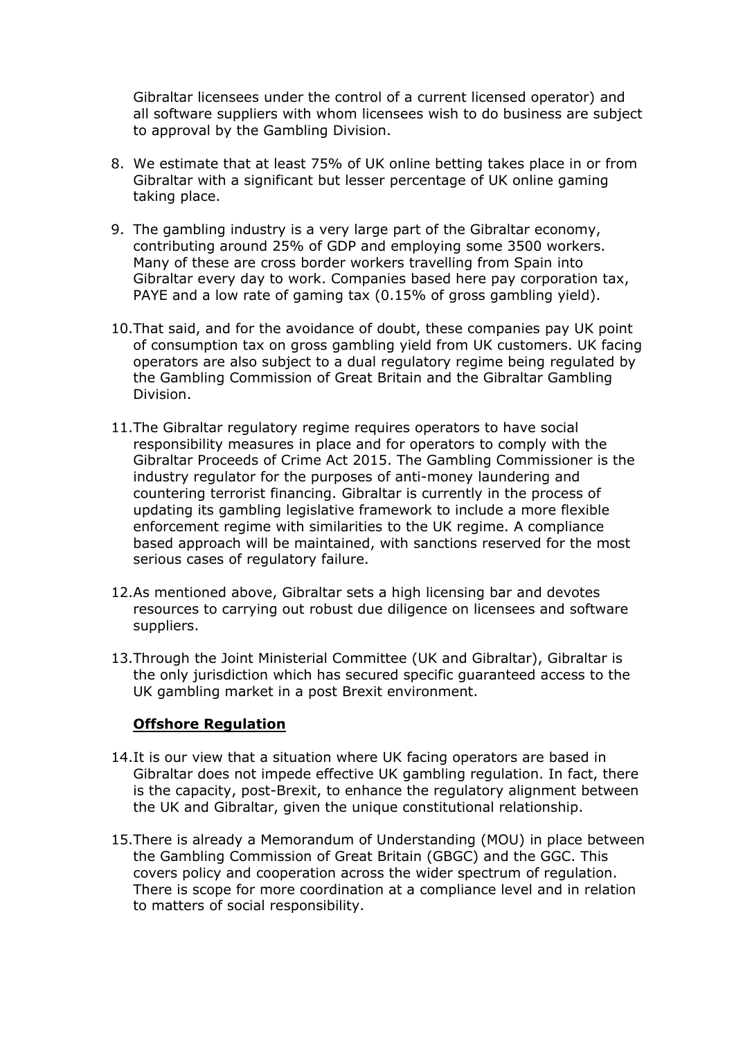Gibraltar licensees under the control of a current licensed operator) and all software suppliers with whom licensees wish to do business are subject to approval by the Gambling Division.

- 8. We estimate that at least 75% of UK online betting takes place in or from Gibraltar with a significant but lesser percentage of UK online gaming taking place.
- 9. The gambling industry is a very large part of the Gibraltar economy, contributing around 25% of GDP and employing some 3500 workers. Many of these are cross border workers travelling from Spain into Gibraltar every day to work. Companies based here pay corporation tax, PAYE and a low rate of gaming tax (0.15% of gross gambling yield).
- 10.That said, and for the avoidance of doubt, these companies pay UK point of consumption tax on gross gambling yield from UK customers. UK facing operators are also subject to a dual regulatory regime being regulated by the Gambling Commission of Great Britain and the Gibraltar Gambling Division.
- 11.The Gibraltar regulatory regime requires operators to have social responsibility measures in place and for operators to comply with the Gibraltar Proceeds of Crime Act 2015. The Gambling Commissioner is the industry regulator for the purposes of anti-money laundering and countering terrorist financing. Gibraltar is currently in the process of updating its gambling legislative framework to include a more flexible enforcement regime with similarities to the UK regime. A compliance based approach will be maintained, with sanctions reserved for the most serious cases of regulatory failure.
- 12.As mentioned above, Gibraltar sets a high licensing bar and devotes resources to carrying out robust due diligence on licensees and software suppliers.
- 13.Through the Joint Ministerial Committee (UK and Gibraltar), Gibraltar is the only jurisdiction which has secured specific guaranteed access to the UK gambling market in a post Brexit environment.

# **Offshore Regulation**

- 14.It is our view that a situation where UK facing operators are based in Gibraltar does not impede effective UK gambling regulation. In fact, there is the capacity, post-Brexit, to enhance the regulatory alignment between the UK and Gibraltar, given the unique constitutional relationship.
- 15.There is already a Memorandum of Understanding (MOU) in place between the Gambling Commission of Great Britain (GBGC) and the GGC. This covers policy and cooperation across the wider spectrum of regulation. There is scope for more coordination at a compliance level and in relation to matters of social responsibility.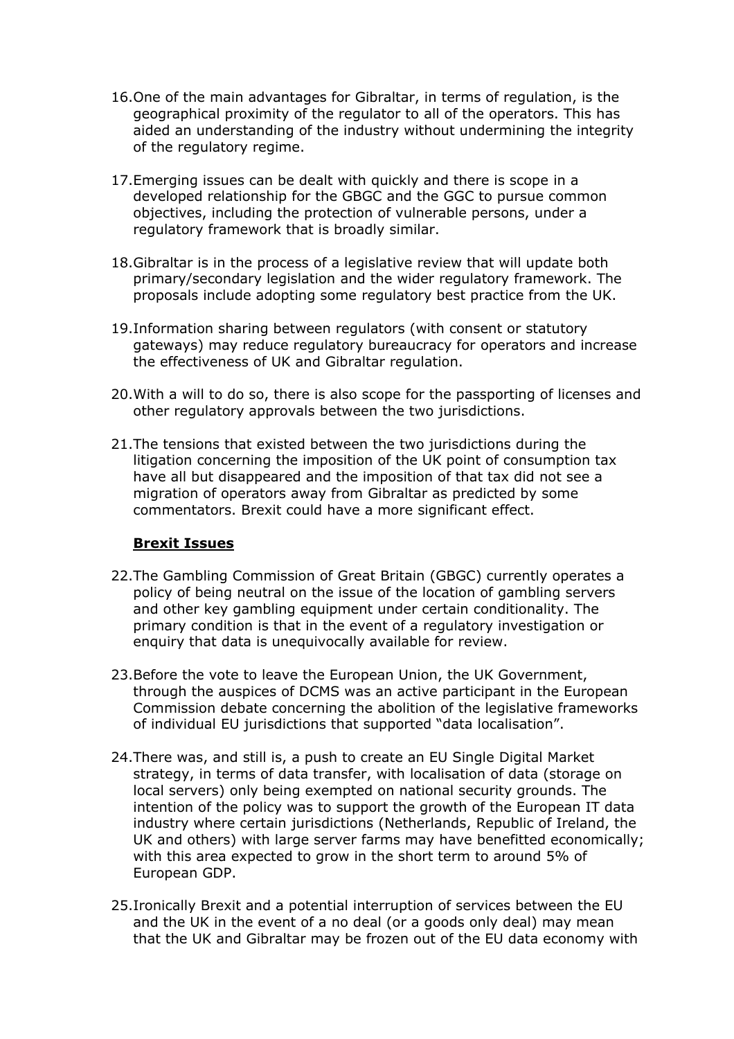- 16.One of the main advantages for Gibraltar, in terms of regulation, is the geographical proximity of the regulator to all of the operators. This has aided an understanding of the industry without undermining the integrity of the regulatory regime.
- 17.Emerging issues can be dealt with quickly and there is scope in a developed relationship for the GBGC and the GGC to pursue common objectives, including the protection of vulnerable persons, under a regulatory framework that is broadly similar.
- 18.Gibraltar is in the process of a legislative review that will update both primary/secondary legislation and the wider regulatory framework. The proposals include adopting some regulatory best practice from the UK.
- 19.Information sharing between regulators (with consent or statutory gateways) may reduce regulatory bureaucracy for operators and increase the effectiveness of UK and Gibraltar regulation.
- 20.With a will to do so, there is also scope for the passporting of licenses and other regulatory approvals between the two jurisdictions.
- 21.The tensions that existed between the two jurisdictions during the litigation concerning the imposition of the UK point of consumption tax have all but disappeared and the imposition of that tax did not see a migration of operators away from Gibraltar as predicted by some commentators. Brexit could have a more significant effect.

### **Brexit Issues**

- 22.The Gambling Commission of Great Britain (GBGC) currently operates a policy of being neutral on the issue of the location of gambling servers and other key gambling equipment under certain conditionality. The primary condition is that in the event of a regulatory investigation or enquiry that data is unequivocally available for review.
- 23.Before the vote to leave the European Union, the UK Government, through the auspices of DCMS was an active participant in the European Commission debate concerning the abolition of the legislative frameworks of individual EU jurisdictions that supported "data localisation".
- 24.There was, and still is, a push to create an EU Single Digital Market strategy, in terms of data transfer, with localisation of data (storage on local servers) only being exempted on national security grounds. The intention of the policy was to support the growth of the European IT data industry where certain jurisdictions (Netherlands, Republic of Ireland, the UK and others) with large server farms may have benefitted economically; with this area expected to grow in the short term to around 5% of European GDP.
- 25.Ironically Brexit and a potential interruption of services between the EU and the UK in the event of a no deal (or a goods only deal) may mean that the UK and Gibraltar may be frozen out of the EU data economy with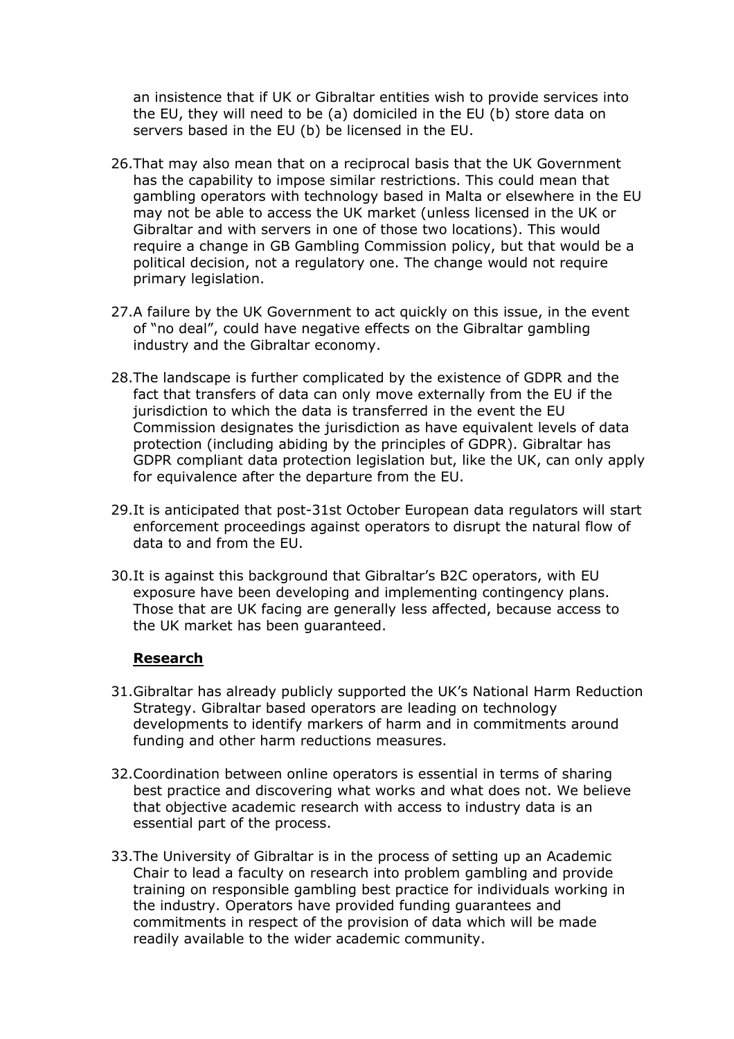an insistence that if UK or Gibraltar entities wish to provide services into the EU, they will need to be (a) domiciled in the EU (b) store data on servers based in the EU (b) be licensed in the EU.

- 26.That may also mean that on a reciprocal basis that the UK Government has the capability to impose similar restrictions. This could mean that gambling operators with technology based in Malta or elsewhere in the EU may not be able to access the UK market (unless licensed in the UK or Gibraltar and with servers in one of those two locations). This would require a change in GB Gambling Commission policy, but that would be a political decision, not a regulatory one. The change would not require primary legislation.
- 27.A failure by the UK Government to act quickly on this issue, in the event of "no deal", could have negative effects on the Gibraltar gambling industry and the Gibraltar economy.
- 28.The landscape is further complicated by the existence of GDPR and the fact that transfers of data can only move externally from the EU if the jurisdiction to which the data is transferred in the event the EU Commission designates the jurisdiction as have equivalent levels of data protection (including abiding by the principles of GDPR). Gibraltar has GDPR compliant data protection legislation but, like the UK, can only apply for equivalence after the departure from the EU.
- 29.It is anticipated that post-31st October European data regulators will start enforcement proceedings against operators to disrupt the natural flow of data to and from the EU.
- 30.It is against this background that Gibraltar's B2C operators, with EU exposure have been developing and implementing contingency plans. Those that are UK facing are generally less affected, because access to the UK market has been guaranteed.

### **Research**

- 31.Gibraltar has already publicly supported the UK's National Harm Reduction Strategy. Gibraltar based operators are leading on technology developments to identify markers of harm and in commitments around funding and other harm reductions measures.
- 32.Coordination between online operators is essential in terms of sharing best practice and discovering what works and what does not. We believe that objective academic research with access to industry data is an essential part of the process.
- 33.The University of Gibraltar is in the process of setting up an Academic Chair to lead a faculty on research into problem gambling and provide training on responsible gambling best practice for individuals working in the industry. Operators have provided funding guarantees and commitments in respect of the provision of data which will be made readily available to the wider academic community.